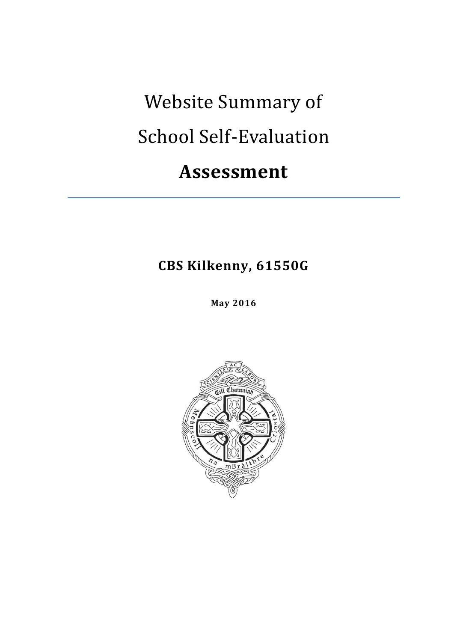# Website Summary of School Self-Evaluation

# **Assessment**

**CBS Kilkenny, 61550G**

**May 2016**

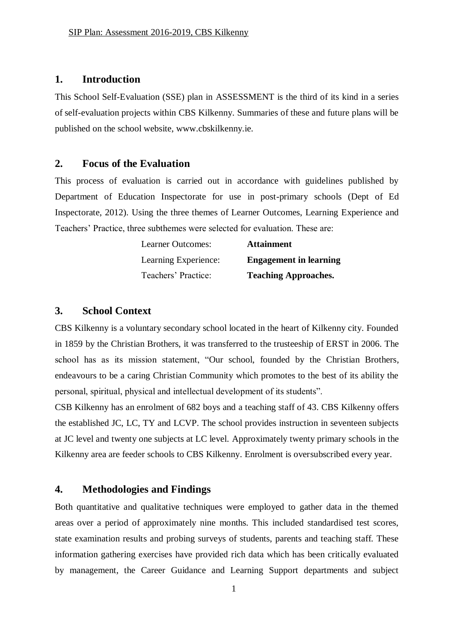#### **1. Introduction**

This School Self-Evaluation (SSE) plan in ASSESSMENT is the third of its kind in a series of self-evaluation projects within CBS Kilkenny. Summaries of these and future plans will be published on the school website, www.cbskilkenny.ie.

### **2. Focus of the Evaluation**

This process of evaluation is carried out in accordance with guidelines published by Department of Education Inspectorate for use in post-primary schools (Dept of Ed Inspectorate, 2012). Using the three themes of Learner Outcomes, Learning Experience and Teachers' Practice, three subthemes were selected for evaluation. These are:

| Learner Outcomes:    | <b>Attainment</b>             |
|----------------------|-------------------------------|
| Learning Experience: | <b>Engagement in learning</b> |
| Teachers' Practice:  | <b>Teaching Approaches.</b>   |

#### **3. School Context**

CBS Kilkenny is a voluntary secondary school located in the heart of Kilkenny city. Founded in 1859 by the Christian Brothers, it was transferred to the trusteeship of ERST in 2006. The school has as its mission statement, "Our school, founded by the Christian Brothers, endeavours to be a caring Christian Community which promotes to the best of its ability the personal, spiritual, physical and intellectual development of its students".

CSB Kilkenny has an enrolment of 682 boys and a teaching staff of 43. CBS Kilkenny offers the established JC, LC, TY and LCVP. The school provides instruction in seventeen subjects at JC level and twenty one subjects at LC level. Approximately twenty primary schools in the Kilkenny area are feeder schools to CBS Kilkenny. Enrolment is oversubscribed every year.

## **4. Methodologies and Findings**

Both quantitative and qualitative techniques were employed to gather data in the themed areas over a period of approximately nine months. This included standardised test scores, state examination results and probing surveys of students, parents and teaching staff. These information gathering exercises have provided rich data which has been critically evaluated by management, the Career Guidance and Learning Support departments and subject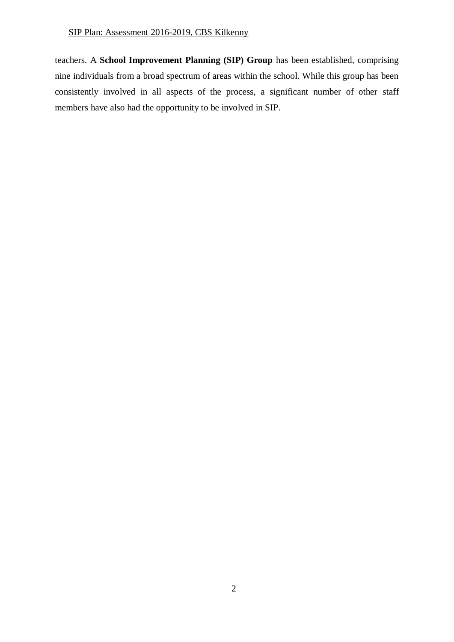#### SIP Plan: Assessment 2016-2019, CBS Kilkenny

teachers. A **School Improvement Planning (SIP) Group** has been established, comprising nine individuals from a broad spectrum of areas within the school. While this group has been consistently involved in all aspects of the process, a significant number of other staff members have also had the opportunity to be involved in SIP.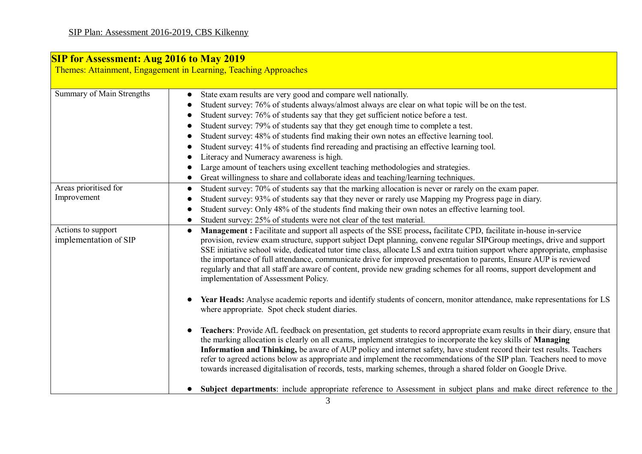| Summary of Main Strengths                   | State exam results are very good and compare well nationally.                                                                                                                                                                                                                                                                                                                                                                                                                                                                                                                                                                                                   |
|---------------------------------------------|-----------------------------------------------------------------------------------------------------------------------------------------------------------------------------------------------------------------------------------------------------------------------------------------------------------------------------------------------------------------------------------------------------------------------------------------------------------------------------------------------------------------------------------------------------------------------------------------------------------------------------------------------------------------|
|                                             | $\bullet$<br>Student survey: 76% of students always/almost always are clear on what topic will be on the test.                                                                                                                                                                                                                                                                                                                                                                                                                                                                                                                                                  |
|                                             | Student survey: 76% of students say that they get sufficient notice before a test.                                                                                                                                                                                                                                                                                                                                                                                                                                                                                                                                                                              |
|                                             | Student survey: 79% of students say that they get enough time to complete a test.                                                                                                                                                                                                                                                                                                                                                                                                                                                                                                                                                                               |
|                                             | Student survey: 48% of students find making their own notes an effective learning tool.                                                                                                                                                                                                                                                                                                                                                                                                                                                                                                                                                                         |
|                                             | Student survey: 41% of students find rereading and practising an effective learning tool.                                                                                                                                                                                                                                                                                                                                                                                                                                                                                                                                                                       |
|                                             | Literacy and Numeracy awareness is high.                                                                                                                                                                                                                                                                                                                                                                                                                                                                                                                                                                                                                        |
|                                             | Large amount of teachers using excellent teaching methodologies and strategies.                                                                                                                                                                                                                                                                                                                                                                                                                                                                                                                                                                                 |
|                                             | Great willingness to share and collaborate ideas and teaching/learning techniques.<br>$\bullet$                                                                                                                                                                                                                                                                                                                                                                                                                                                                                                                                                                 |
| Areas prioritised for                       | Student survey: 70% of students say that the marking allocation is never or rarely on the exam paper.<br>$\bullet$                                                                                                                                                                                                                                                                                                                                                                                                                                                                                                                                              |
| Improvement                                 | Student survey: 93% of students say that they never or rarely use Mapping my Progress page in diary.                                                                                                                                                                                                                                                                                                                                                                                                                                                                                                                                                            |
|                                             | Student survey: Only 48% of the students find making their own notes an effective learning tool.<br>$\bullet$                                                                                                                                                                                                                                                                                                                                                                                                                                                                                                                                                   |
|                                             | Student survey: 25% of students were not clear of the test material.                                                                                                                                                                                                                                                                                                                                                                                                                                                                                                                                                                                            |
| Actions to support<br>implementation of SIP | Management : Facilitate and support all aspects of the SSE process, facilitate CPD, facilitate in-house in-service<br>provision, review exam structure, support subject Dept planning, convene regular SIPGroup meetings, drive and support<br>SSE initiative school wide, dedicated tutor time class, allocate LS and extra tuition support where appropriate, emphasise<br>the importance of full attendance, communicate drive for improved presentation to parents, Ensure AUP is reviewed<br>regularly and that all staff are aware of content, provide new grading schemes for all rooms, support development and<br>implementation of Assessment Policy. |
|                                             | Year Heads: Analyse academic reports and identify students of concern, monitor attendance, make representations for LS<br>where appropriate. Spot check student diaries.                                                                                                                                                                                                                                                                                                                                                                                                                                                                                        |
|                                             | Teachers: Provide AfL feedback on presentation, get students to record appropriate exam results in their diary, ensure that<br>$\bullet$<br>the marking allocation is clearly on all exams, implement strategies to incorporate the key skills of Managing<br>Information and Thinking, be aware of AUP policy and internet safety, have student record their test results. Teachers<br>refer to agreed actions below as appropriate and implement the recommendations of the SIP plan. Teachers need to move<br>towards increased digitalisation of records, tests, marking schemes, through a shared folder on Google Drive.                                  |
|                                             | Subject departments: include appropriate reference to Assessment in subject plans and make direct reference to the<br>$\bullet$                                                                                                                                                                                                                                                                                                                                                                                                                                                                                                                                 |